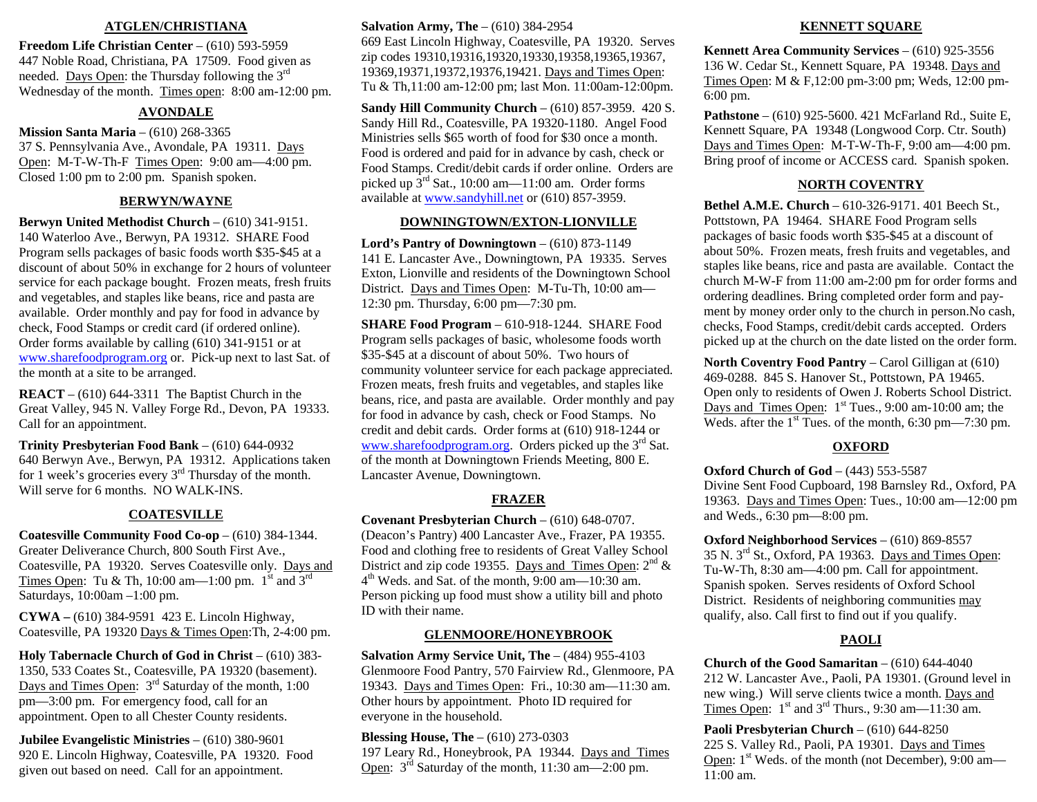#### **ATGLEN/CHRISTIANA**

**Freedom Life Christian Center** – (610) 593-5959 447 Noble Road, Christiana, PA 17509. Food given as needed. Days Open: the Thursday following the 3<sup>rd</sup> Wednesday of the month. Times open: 8:00 am-12:00 pm.

## **AVONDALE**

**Mission Santa Maria** – (610) 268-3365 37 S. Pennsylvania Ave., Avondale, PA 19311. Days Open: M-T-W-Th-F Times Open: 9:00 am—4:00 pm. Closed 1:00 pm to 2:00 pm. Spanish spoken.

## **BERWYN/WAYNE**

**Berwyn United Methodist Church** – (610) 341-9151. 140 Waterloo Ave., Berwyn, PA 19312. SHARE Food Program sells packages of basic foods worth \$35-\$45 at a discount of about 50% in exchange for 2 hours of volunteer service for each package bought. Frozen meats, fresh fruits and vegetables, and staples like beans, rice and pasta are available. Order monthly and pay for food in advance by check, Food Stamps or credit card (if ordered online). Order forms available by calling (610) 341-9151 or at [www.sharefoodprogram.org](http://www.sharefoodprogram.org/) or. Pick-up next to last Sat. of the month at a site to be arranged.

**REACT** – (610) 644-3311 The Baptist Church in the Great Valley, 945 N. Valley Forge Rd., Devon, PA 19333. Call for an appointment.

**Trinity Presbyterian Food Bank** – (610) 644-0932 640 Berwyn Ave., Berwyn, PA 19312. Applications taken for 1 week's groceries every 3rd Thursday of the month. Will serve for 6 months. NO WALK-INS.

## **COATESVILLE**

**Coatesville Community Food Co-op** – (610) 384-1344. Greater Deliverance Church, 800 South First Ave., Coatesville, PA 19320. Serves Coatesville only. Days and Times Open: Tu & Th, 10:00 am—1:00 pm.  $1^{st}$  and  $3^{rd}$ Saturdays, 10:00am –1:00 pm.

**CYWA –** (610) 384-9591 423 E. Lincoln Highway, Coatesville, PA 19320 Days & Times Open:Th, 2-4:00 pm.

**Holy Tabernacle Church of God in Christ** – (610) 383- 1350, 533 Coates St., Coatesville, PA 19320 (basement). Days and Times Open:  $3<sup>rd</sup>$  Saturday of the month, 1:00 pm—3:00 pm. For emergency food, call for an appointment. Open to all Chester County residents.

**Jubilee Evangelistic Ministries** – (610) 380-9601 920 E. Lincoln Highway, Coatesville, PA 19320. Food given out based on need. Call for an appointment.

## **Salvation Army, The** – (610) 384-2954

669 East Lincoln Highway, Coatesville, PA 19320. Serves zip codes 19310,19316,19320,19330,19358,19365,19367, 19369,19371,19372,19376,19421. Days and Times Open: Tu & Th,11:00 am-12:00 pm; last Mon. 11:00am-12:00pm.

**Sandy Hill Community Church** – (610) 857-3959. 420 S. Sandy Hill Rd., Coatesville, PA 19320-1180. Angel Food Ministries sells \$65 worth of food for \$30 once a month. Food is ordered and paid for in advance by cash, check or Food Stamps. Credit/debit cards if order online. Orders are picked up  $3<sup>rd</sup>$  Sat., 10:00 am—11:00 am. Order forms available at [www.sandyhill.net](http://www.sandyhill.net/) or (610) 857-3959.

#### **DOWNINGTOWN/EXTON-LIONVILLE**

**Lord's Pantry of Downingtown** – (610) 873-1149 141 E. Lancaster Ave., Downingtown, PA 19335. Serves Exton, Lionville and residents of the Downingtown School District. Days and Times Open: M-Tu-Th, 10:00 am— 12:30 pm. Thursday, 6:00 pm—7:30 pm.

**SHARE Food Program** – 610-918-1244. SHARE Food Program sells packages of basic, wholesome foods worth \$35-\$45 at a discount of about 50%. Two hours of community volunteer service for each package appreciated. Frozen meats, fresh fruits and vegetables, and staples like beans, rice, and pasta are available. Order monthly and pay for food in advance by cash, check or Food Stamps. No credit and debit cards. Order forms at (610) 918-1244 or [www.sharefoodprogram.org](http://www.sharefoodprogram.org/). Orders picked up the  $3<sup>rd</sup>$  Sat. of the month at Downingtown Friends Meeting, 800 E. Lancaster Avenue, Downingtown.

# **FRAZER**

**Covenant Presbyterian Church** – (610) 648-0707. (Deacon's Pantry) 400 Lancaster Ave., Frazer, PA 19355. Food and clothing free to residents of Great Valley School District and zip code 19355. Days and Times Open:  $2<sup>nd</sup>$  &  $4<sup>th</sup>$  Weds. and Sat. of the month, 9:00 am— $10:30$  am. Person picking up food must show a utility bill and photo ID with their name.

### **GLENMOORE/HONEYBROOK**

**Salvation Army Service Unit, The** – (484) 955-4103 Glenmoore Food Pantry, 570 Fairview Rd., Glenmoore, PA 19343. Days and Times Open: Fri., 10:30 am—11:30 am. Other hours by appointment. Photo ID required for everyone in the household.

**Blessing House, The** – (610) 273-0303 197 Leary Rd., Honeybrook, PA 19344. Days and Times Open: 3rd Saturday of the month, 11:30 am—2:00 pm.

#### **KENNETT SQUARE**

**Kennett Area Community Services** – (610) 925-3556 136 W. Cedar St., Kennett Square, PA 19348. Days and Times Open: M & F,12:00 pm-3:00 pm; Weds, 12:00 pm-6:00 pm.

**Pathstone** – (610) 925-5600. 421 McFarland Rd., Suite E, Kennett Square, PA 19348 (Longwood Corp. Ctr. South) Days and Times Open: M-T-W-Th-F, 9:00 am—4:00 pm. Bring proof of income or ACCESS card. Spanish spoken.

## **NORTH COVENTRY**

**Bethel A.M.E. Church** – 610-326-9171. 401 Beech St., Pottstown, PA 19464. SHARE Food Program sells packages of basic foods worth \$35-\$45 at a discount of about 50%. Frozen meats, fresh fruits and vegetables, and staples like beans, rice and pasta are available. Contact the church M-W-F from 11:00 am-2:00 pm for order forms and ordering deadlines. Bring completed order form and payment by money order only to the church in person.No cash, checks, Food Stamps, credit/debit cards accepted. Orders picked up at the church on the date listed on the order form.

**North Coventry Food Pantry** – Carol Gilligan at (610) 469-0288. 845 S. Hanover St., Pottstown, PA 19465. Open only to residents of Owen J. Roberts School District. Days and Times Open:  $1<sup>st</sup>$  Tues., 9:00 am-10:00 am; the Weds. after the 1<sup>st</sup> Tues. of the month, 6:30 pm—7:30 pm.

## **OXFORD**

**Oxford Church of God** – (443) 553-5587 Divine Sent Food Cupboard, 198 Barnsley Rd., Oxford, PA 19363. Days and Times Open: Tues., 10:00 am—12:00 pm and Weds., 6:30 pm—8:00 pm.

**Oxford Neighborhood Services** – (610) 869-8557 35 N. 3rd St., Oxford, PA 19363. Days and Times Open: Tu-W-Th, 8:30 am—4:00 pm. Call for appointment. Spanish spoken. Serves residents of Oxford School District. Residents of neighboring communities may qualify, also. Call first to find out if you qualify.

# **PAOLI**

**Church of the Good Samaritan** – (610) 644-4040 212 W. Lancaster Ave., Paoli, PA 19301. (Ground level in new wing.) Will serve clients twice a month. Days and Times Open:  $1<sup>st</sup>$  and  $3<sup>rd</sup>$  Thurs., 9:30 am—11:30 am.

**Paoli Presbyterian Church** – (610) 644-8250 225 S. Valley Rd., Paoli, PA 19301. Days and Times Open: 1<sup>st</sup> Weds. of the month (not December), 9:00 am— 11:00 am.